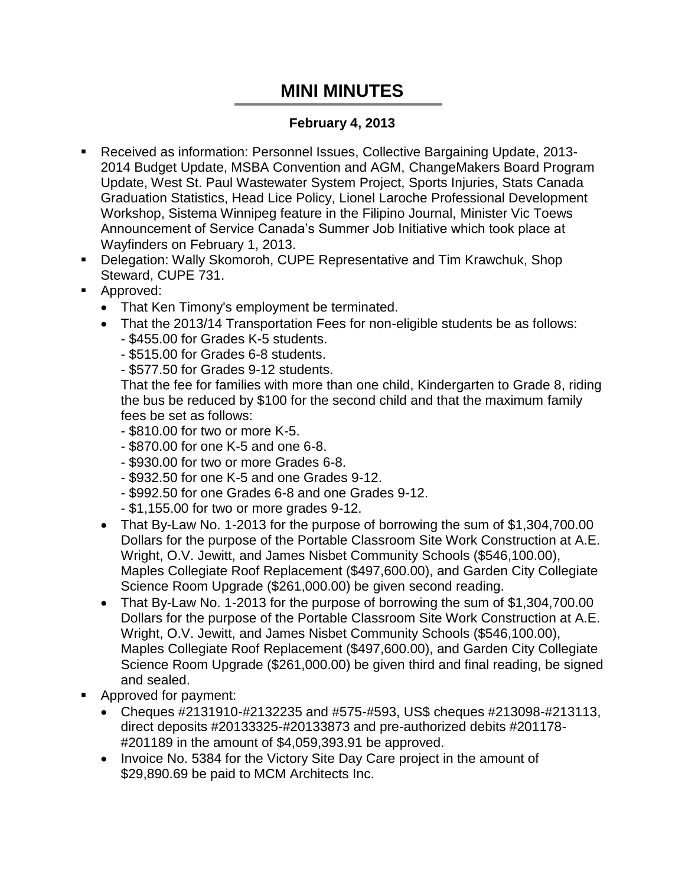## **MINI MINUTES**

## **February 4, 2013**

- Received as information: Personnel Issues, Collective Bargaining Update, 2013- 2014 Budget Update, MSBA Convention and AGM, ChangeMakers Board Program Update, West St. Paul Wastewater System Project, Sports Injuries, Stats Canada Graduation Statistics, Head Lice Policy, Lionel Laroche Professional Development Workshop, Sistema Winnipeg feature in the Filipino Journal, Minister Vic Toews Announcement of Service Canada's Summer Job Initiative which took place at Wayfinders on February 1, 2013.
- Delegation: Wally Skomoroh, CUPE Representative and Tim Krawchuk, Shop Steward, CUPE 731.
- **Approved:** 
	- That Ken Timony's employment be terminated.
	- That the 2013/14 Transportation Fees for non-eligible students be as follows:
		- \$455.00 for Grades K-5 students.

- \$515.00 for Grades 6-8 students.

- \$577.50 for Grades 9-12 students.

That the fee for families with more than one child, Kindergarten to Grade 8, riding the bus be reduced by \$100 for the second child and that the maximum family fees be set as follows:

- \$810.00 for two or more K-5.
- \$870.00 for one K-5 and one 6-8.
- \$930.00 for two or more Grades 6-8.
- \$932.50 for one K-5 and one Grades 9-12.
- \$992.50 for one Grades 6-8 and one Grades 9-12.
- \$1,155.00 for two or more grades 9-12.
- That By-Law No. 1-2013 for the purpose of borrowing the sum of \$1,304,700.00 Dollars for the purpose of the Portable Classroom Site Work Construction at A.E. Wright, O.V. Jewitt, and James Nisbet Community Schools (\$546,100.00), Maples Collegiate Roof Replacement (\$497,600.00), and Garden City Collegiate Science Room Upgrade (\$261,000.00) be given second reading.
- That By-Law No. 1-2013 for the purpose of borrowing the sum of \$1,304,700.00 Dollars for the purpose of the Portable Classroom Site Work Construction at A.E. Wright, O.V. Jewitt, and James Nisbet Community Schools (\$546,100.00), Maples Collegiate Roof Replacement (\$497,600.00), and Garden City Collegiate Science Room Upgrade (\$261,000.00) be given third and final reading, be signed and sealed.
- Approved for payment:
	- Cheques #2131910-#2132235 and #575-#593, US\$ cheques #213098-#213113, direct deposits #20133325-#20133873 and pre-authorized debits #201178- #201189 in the amount of \$4,059,393.91 be approved.
	- Invoice No. 5384 for the Victory Site Day Care project in the amount of \$29,890.69 be paid to MCM Architects Inc.